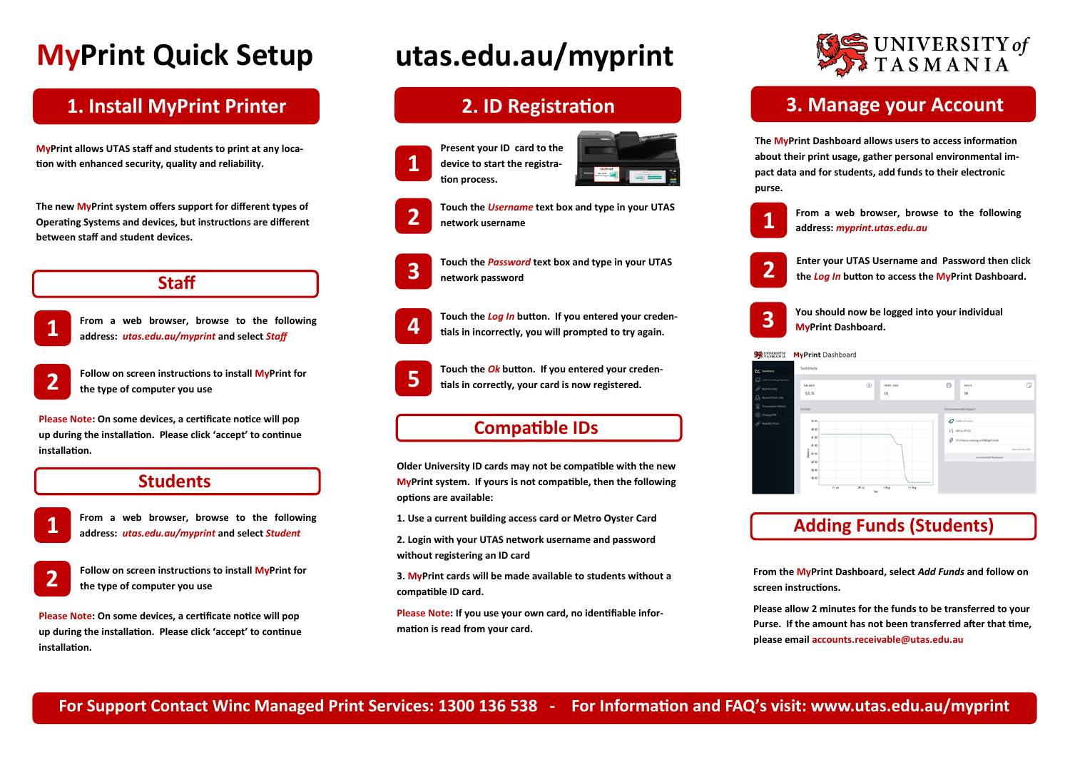## **1. Install MyPrint Printer**

**1**

**From a web browser, browse to the following address:** *utas.edu.au/myprint* **and select** *Staff*

**2**

**Follow on screen instructions to install MyPrint for the type of computer you use**

## **3. Manage your Account**

**2**



**From a web browser, browse to the following address:** *myprint.utas.edu.au*

### **Students**

### **Staff**





**Enter your UTAS Username and Password then click the** *Log In* **button to access the MyPrint Dashboard.**

**You should now be logged into your individual MyPrint Dashboard.**

**Please Note: On some devices, a certificate notice will pop up during the installation. Please click 'accept' to continue installation.**

## **2. ID Registration**



**tion process.**



**Touch the** *Username* **text box and type in your UTAS network username**



**Touch the** *Password* **text box and type in your UTAS network password**



**Touch the** *Log In* **button. If you entered your credentials in incorrectly, you will prompted to try again.**

**5**

**Touch the** *Ok* **button. If you entered your credentials in correctly, your card is now registered.**

**Older University ID cards may not be compatible with the new MyPrint system. If yours is not compatible, then the following options are available:**

**1. Use a current building access card or Metro Oyster Card**

**2. Login with your UTAS network username and password without registering an ID card**

**3. MyPrint cards will be made available to students without a compatible ID card.**

**Please Note: If you use your own card, no identifiable information is read from your card.**

## **Compatible IDs**

**The MyPrint Dashboard allows users to access information about their print usage, gather personal environmental impact data and for students, add funds to their electronic purse.**

# **MyPrint Quick Setup**

## **Adding Funds (Students)**

# **utas.edu.au/myprint**

**1**

**From a web browser, browse to the following address:** *utas.edu.au/myprint* **and select** *Student*



**Follow on screen instructions to install MyPrint for the type of computer you use**

**Please Note: On some devices, a certificate notice will pop up during the installation. Please click 'accept' to continue installation.**



**From the MyPrint Dashboard, select** *Add Funds* **and follow on** 

**screen instructions.**

**Please allow 2 minutes for the funds to be transferred to your Purse. If the amount has not been transferred after that time, please email accounts.receivable@utas.edu.au** 

**MyPrint allows UTAS staff and students to print at any location with enhanced security, quality and reliability.** 

**The new MyPrint system offers support for different types of Operating Systems and devices, but instructions are different between staff and student devices.**